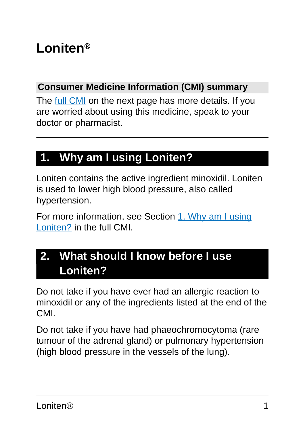# **Loniten®**

#### **Consumer Medicine Information (CMI) summary**

The [full CMI](#page-4-0) on the next page has more details. If you are worried about using this medicine, speak to your doctor or pharmacist.

## **1. Why am I using Loniten?**

Loniten contains the active ingredient minoxidil. Loniten is used to lower high blood pressure, also called hypertension.

For more information, see Section [1. Why am I using](#page-4-1) [Loniten?](#page-4-1) in the full CMI.

## **2. What should I know before I use Loniten?**

Do not take if you have ever had an allergic reaction to minoxidil or any of the ingredients listed at the end of the CMI.

Do not take if you have had phaeochromocytoma (rare tumour of the adrenal gland) or pulmonary hypertension (high blood pressure in the vessels of the lung).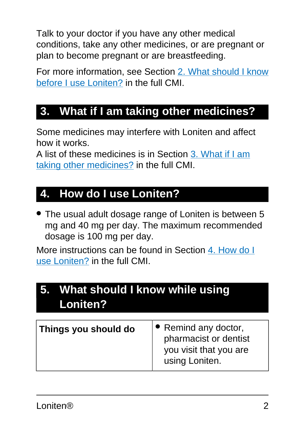Talk to your doctor if you have any other medical conditions, take any other medicines, or are pregnant or plan to become pregnant or are breastfeeding.

For more information, see Section [2. What should I know](#page-5-0) [before I use Loniten?](#page-5-0) in the full CMI.

## **3. What if I am taking other medicines?**

Some medicines may interfere with Loniten and affect how it works.

A list of these medicines is in Section [3. What if I am](#page-7-0) [taking other medicines?](#page-7-0) in the full CMI.

## **4. How do I use Loniten?**

● The usual adult dosage range of Loniten is between 5 mg and 40 mg per day. The maximum recommended dosage is 100 mg per day.

More instructions can be found in Section [4. How do I](#page-8-0) [use Loniten?](#page-8-0) in the full CMI.

# **5. What should I know while using Loniten?**

| Things you should do | $\bullet$ Remind any doctor,<br>pharmacist or dentist<br>you visit that you are<br>using Loniten. |
|----------------------|---------------------------------------------------------------------------------------------------|
|----------------------|---------------------------------------------------------------------------------------------------|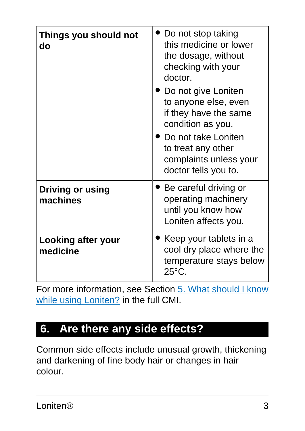| Things you should not<br>do           | Do not stop taking<br>this medicine or lower<br>the dosage, without<br>checking with your<br>doctor.<br><b>Do not give Loniten</b><br>to anyone else, even<br>if they have the same<br>condition as you.<br>Do not take Loniten<br>to treat any other<br>complaints unless your |
|---------------------------------------|---------------------------------------------------------------------------------------------------------------------------------------------------------------------------------------------------------------------------------------------------------------------------------|
| <b>Driving or using</b><br>machines   | doctor tells you to.<br>Be careful driving or<br>operating machinery<br>until you know how<br>Loniten affects you.                                                                                                                                                              |
| <b>Looking after your</b><br>medicine | Keep your tablets in a<br>cool dry place where the<br>temperature stays below<br>$25^{\circ}$ C.                                                                                                                                                                                |

For more information, see Section [5. What should I know](#page-10-0) [while using Loniten?](#page-10-0) in the full CMI.

## **6. Are there any side effects?**

Common side effects include unusual growth, thickening and darkening of fine body hair or changes in hair colour.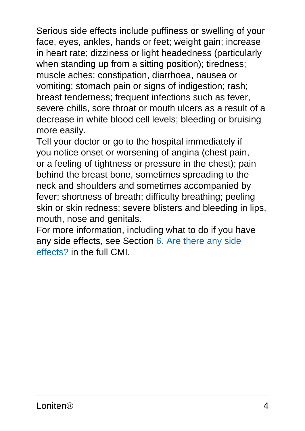Serious side effects include puffiness or swelling of your face, eyes, ankles, hands or feet; weight gain; increase in heart rate; dizziness or light headedness (particularly when standing up from a sitting position); tiredness; muscle aches; constipation, diarrhoea, nausea or vomiting; stomach pain or signs of indigestion; rash; breast tenderness; frequent infections such as fever, severe chills, sore throat or mouth ulcers as a result of a decrease in white blood cell levels; bleeding or bruising more easily.

Tell your doctor or go to the hospital immediately if you notice onset or worsening of angina (chest pain, or a feeling of tightness or pressure in the chest); pain behind the breast bone, sometimes spreading to the neck and shoulders and sometimes accompanied by fever; shortness of breath; difficulty breathing; peeling skin or skin redness; severe blisters and bleeding in lips, mouth, nose and genitals.

For more information, including what to do if you have any side effects, see Section [6. Are there any side](#page-13-0) [effects?](#page-13-0) in the full CMI.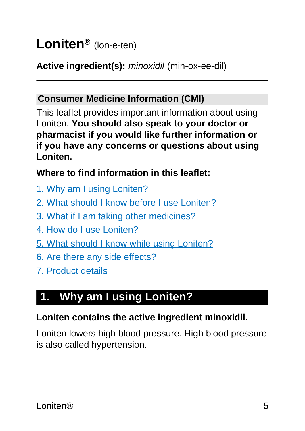# <span id="page-4-0"></span>**Loniten®** (lon-e-ten)

### **Active ingredient(s):** minoxidil (min-ox-ee-dil)

#### **Consumer Medicine Information (CMI)**

This leaflet provides important information about using Loniten. **You should also speak to your doctor or pharmacist if you would like further information or if you have any concerns or questions about using Loniten.**

#### **Where to find information in this leaflet:**

- [1. Why am I using Loniten?](#page-4-1)
- [2. What should I know before I use Loniten?](#page-5-0)
- [3. What if I am taking other medicines?](#page-7-0)
- [4. How do I use Loniten?](#page-8-0)
- [5. What should I know while using Loniten?](#page-10-0)
- [6. Are there any side effects?](#page-13-0)
- [7. Product details](#page-16-0)

# <span id="page-4-1"></span>**1. Why am I using Loniten?**

#### **Loniten contains the active ingredient minoxidil.**

Loniten lowers high blood pressure. High blood pressure is also called hypertension.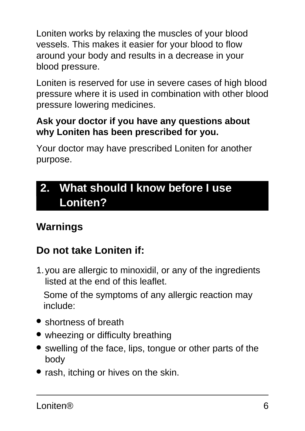Loniten works by relaxing the muscles of your blood vessels. This makes it easier for your blood to flow around your body and results in a decrease in your blood pressure.

Loniten is reserved for use in severe cases of high blood pressure where it is used in combination with other blood pressure lowering medicines.

#### **Ask your doctor if you have any questions about why Loniten has been prescribed for you.**

Your doctor may have prescribed Loniten for another purpose.

## <span id="page-5-0"></span>**2. What should I know before I use Loniten?**

## **Warnings**

## **Do not take Loniten if:**

1.you are allergic to minoxidil, or any of the ingredients listed at the end of this leaflet.

Some of the symptoms of any allergic reaction may include:

- shortness of breath
- wheezing or difficulty breathing
- swelling of the face, lips, tongue or other parts of the body
- rash, itching or hives on the skin.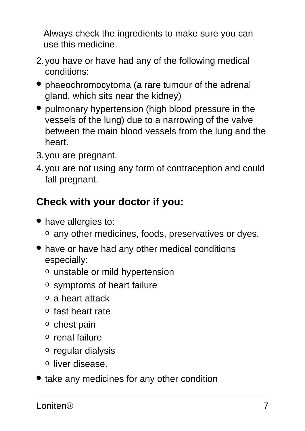Always check the ingredients to make sure you can use this medicine.

- 2.you have or have had any of the following medical conditions:
- phaeochromocytoma (a rare tumour of the adrenal gland, which sits near the kidney)
- pulmonary hypertension (high blood pressure in the vessels of the lung) due to a narrowing of the valve between the main blood vessels from the lung and the heart.
- 3.you are pregnant.
- 4.you are not using any form of contraception and could fall pregnant.

## **Check with your doctor if you:**

- have allergies to: o any other medicines, foods, preservatives or dyes.
- have or have had any other medical conditions especially:
	- o unstable or mild hypertension
	- o symptoms of heart failure
	- o a heart attack
	- o fast heart rate
	- o chest pain
	- o renal failure
	- o regular dialysis
	- o liver disease.
- take any medicines for any other condition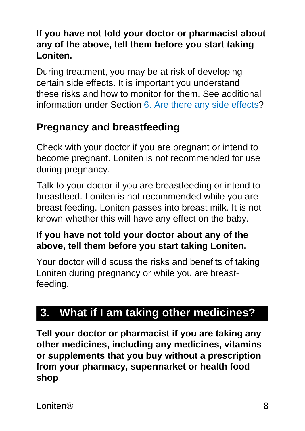#### **If you have not told your doctor or pharmacist about any of the above, tell them before you start taking Loniten.**

During treatment, you may be at risk of developing certain side effects. It is important you understand these risks and how to monitor for them. See additional information under Section [6. Are there any side effects](#page-13-0)?

## **Pregnancy and breastfeeding**

Check with your doctor if you are pregnant or intend to become pregnant. Loniten is not recommended for use during pregnancy.

Talk to your doctor if you are breastfeeding or intend to breastfeed. Loniten is not recommended while you are breast feeding. Loniten passes into breast milk. It is not known whether this will have any effect on the baby.

#### **If you have not told your doctor about any of the above, tell them before you start taking Loniten.**

Your doctor will discuss the risks and benefits of taking Loniten during pregnancy or while you are breastfeeding.

# <span id="page-7-0"></span>**3. What if I am taking other medicines?**

**Tell your doctor or pharmacist if you are taking any other medicines, including any medicines, vitamins or supplements that you buy without a prescription from your pharmacy, supermarket or health food shop**.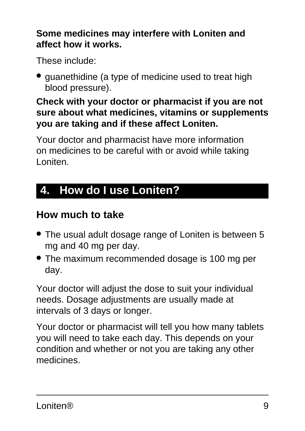#### **Some medicines may interfere with Loniten and affect how it works.**

These include:

● guanethidine (a type of medicine used to treat high blood pressure).

#### **Check with your doctor or pharmacist if you are not sure about what medicines, vitamins or supplements you are taking and if these affect Loniten.**

Your doctor and pharmacist have more information on medicines to be careful with or avoid while taking Loniten.

## <span id="page-8-0"></span>**4. How do I use Loniten?**

## **How much to take**

- The usual adult dosage range of Loniten is between 5 mg and 40 mg per day.
- The maximum recommended dosage is 100 mg per day.

Your doctor will adjust the dose to suit your individual needs. Dosage adjustments are usually made at intervals of 3 days or longer.

Your doctor or pharmacist will tell you how many tablets you will need to take each day. This depends on your condition and whether or not you are taking any other medicines.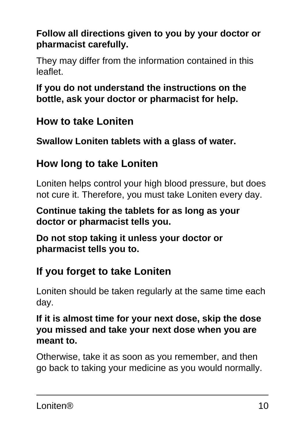### **Follow all directions given to you by your doctor or pharmacist carefully.**

They may differ from the information contained in this leaflet.

#### **If you do not understand the instructions on the bottle, ask your doctor or pharmacist for help.**

## **How to take Loniten**

**Swallow Loniten tablets with a glass of water.**

### **How long to take Loniten**

Loniten helps control your high blood pressure, but does not cure it. Therefore, you must take Loniten every day.

**Continue taking the tablets for as long as your doctor or pharmacist tells you.**

**Do not stop taking it unless your doctor or pharmacist tells you to.**

### **If you forget to take Loniten**

Loniten should be taken regularly at the same time each day.

#### **If it is almost time for your next dose, skip the dose you missed and take your next dose when you are meant to.**

Otherwise, take it as soon as you remember, and then go back to taking your medicine as you would normally.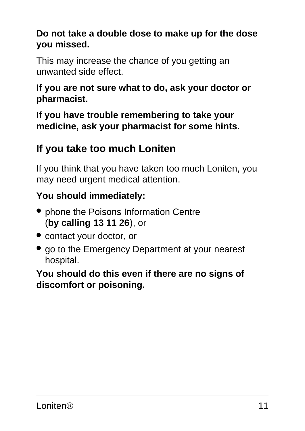#### **Do not take a double dose to make up for the dose you missed.**

This may increase the chance of you getting an unwanted side effect.

#### **If you are not sure what to do, ask your doctor or pharmacist.**

**If you have trouble remembering to take your medicine, ask your pharmacist for some hints.**

## **If you take too much Loniten**

If you think that you have taken too much Loniten, you may need urgent medical attention.

## **You should immediately:**

- phone the Poisons Information Centre (**by calling 13 11 26**), or
- contact your doctor, or
- go to the Emergency Department at your nearest hospital.

#### <span id="page-10-0"></span>**You should do this even if there are no signs of discomfort or poisoning.**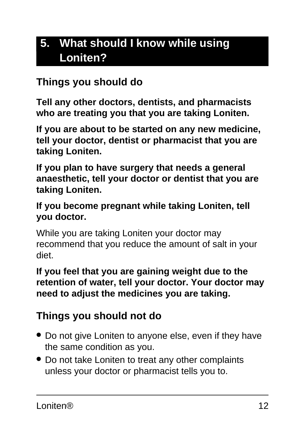## **5. What should I know while using Loniten?**

### **Things you should do**

**Tell any other doctors, dentists, and pharmacists who are treating you that you are taking Loniten.**

**If you are about to be started on any new medicine, tell your doctor, dentist or pharmacist that you are taking Loniten.**

**If you plan to have surgery that needs a general anaesthetic, tell your doctor or dentist that you are taking Loniten.**

#### **If you become pregnant while taking Loniten, tell you doctor.**

While you are taking Loniten your doctor may recommend that you reduce the amount of salt in your diet.

#### **If you feel that you are gaining weight due to the retention of water, tell your doctor. Your doctor may need to adjust the medicines you are taking.**

### **Things you should not do**

- Do not give Loniten to anyone else, even if they have the same condition as you.
- Do not take Loniten to treat any other complaints unless your doctor or pharmacist tells you to.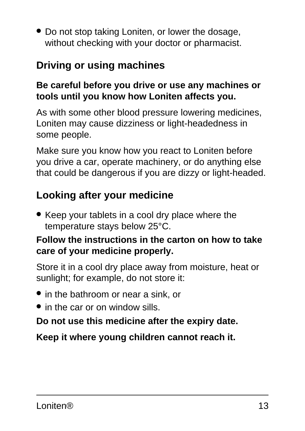• Do not stop taking Loniten, or lower the dosage, without checking with your doctor or pharmacist.

## **Driving or using machines**

#### **Be careful before you drive or use any machines or tools until you know how Loniten affects you.**

As with some other blood pressure lowering medicines, Loniten may cause dizziness or light-headedness in some people.

Make sure you know how you react to Loniten before you drive a car, operate machinery, or do anything else that could be dangerous if you are dizzy or light-headed.

## **Looking after your medicine**

• Keep your tablets in a cool dry place where the temperature stays below 25°C.

#### **Follow the instructions in the carton on how to take care of your medicine properly.**

Store it in a cool dry place away from moisture, heat or sunlight; for example, do not store it:

- in the bathroom or near a sink, or
- in the car or on window sills.

#### **Do not use this medicine after the expiry date.**

**Keep it where young children cannot reach it.**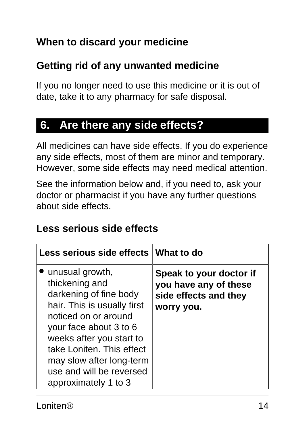## **When to discard your medicine**

## **Getting rid of any unwanted medicine**

If you no longer need to use this medicine or it is out of date, take it to any pharmacy for safe disposal.

## <span id="page-13-0"></span>**6. Are there any side effects?**

All medicines can have side effects. If you do experience any side effects, most of them are minor and temporary. However, some side effects may need medical attention.

See the information below and, if you need to, ask your doctor or pharmacist if you have any further questions about side effects.

### **Less serious side effects**

| Less serious side effects What to do                                                                                                                                                                                                                                                  |                                                                                         |
|---------------------------------------------------------------------------------------------------------------------------------------------------------------------------------------------------------------------------------------------------------------------------------------|-----------------------------------------------------------------------------------------|
| unusual growth,<br>thickening and<br>darkening of fine body<br>hair. This is usually first<br>noticed on or around<br>your face about 3 to 6<br>weeks after you start to<br>take Loniten. This effect<br>may slow after long-term<br>use and will be reversed<br>approximately 1 to 3 | Speak to your doctor if<br>you have any of these<br>side effects and they<br>worry you. |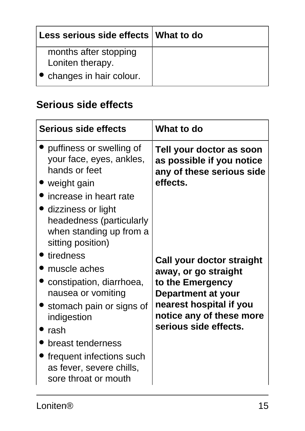| Less serious side effects   What to do    |  |
|-------------------------------------------|--|
| months after stopping<br>Loniten therapy. |  |
| • changes in hair colour.                 |  |

### **Serious side effects**

| Serious side effects                                                                                                                 | What to do                                                                                     |
|--------------------------------------------------------------------------------------------------------------------------------------|------------------------------------------------------------------------------------------------|
| puffiness or swelling of<br>your face, eyes, ankles,<br>hands or feet<br>weight gain<br>increase in heart rate<br>dizziness or light | Tell your doctor as soon<br>as possible if you notice<br>any of these serious side<br>effects. |
| headedness (particularly<br>when standing up from a<br>sitting position)                                                             |                                                                                                |
| tiredness<br>muscle aches                                                                                                            | Call your doctor straight                                                                      |
| constipation, diarrhoea,<br>nausea or vomiting                                                                                       | away, or go straight<br>to the Emergency<br>Department at your                                 |
| stomach pain or signs of<br>indigestion                                                                                              | nearest hospital if you<br>notice any of these more<br>serious side effects.                   |
| rash<br>breast tenderness                                                                                                            |                                                                                                |
| frequent infections such<br>as fever, severe chills,<br>sore throat or mouth                                                         |                                                                                                |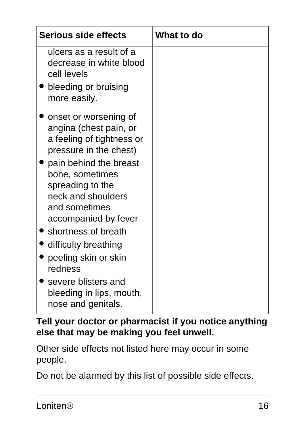| Serious side effects                                                                                                                                                                                                                                                                  | <b>What to do</b> |
|---------------------------------------------------------------------------------------------------------------------------------------------------------------------------------------------------------------------------------------------------------------------------------------|-------------------|
| ulcers as a result of a<br>decrease in white blood<br>cell levels                                                                                                                                                                                                                     |                   |
| bleeding or bruising<br>more easily.                                                                                                                                                                                                                                                  |                   |
| onset or worsening of<br>angina (chest pain, or<br>a feeling of tightness or<br>pressure in the chest)<br>pain behind the breast<br>bone, sometimes<br>spreading to the<br>neck and shoulders<br>and sometimes<br>accompanied by fever<br>shortness of breath<br>difficulty breathing |                   |
| peeling skin or skin<br>redness                                                                                                                                                                                                                                                       |                   |
| severe blisters and<br>bleeding in lips, mouth,<br>nose and genitals.                                                                                                                                                                                                                 |                   |

**Tell your doctor or pharmacist if you notice anything else that may be making you feel unwell.**

Other side effects not listed here may occur in some people.

Do not be alarmed by this list of possible side effects.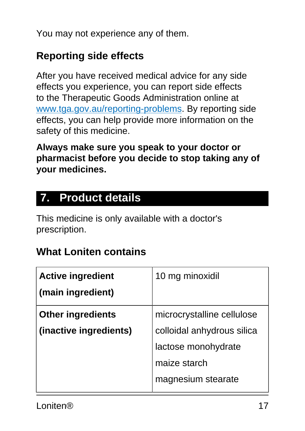You may not experience any of them.

## **Reporting side effects**

After you have received medical advice for any side effects you experience, you can report side effects to the Therapeutic Goods Administration online at [www.tga.gov.au/reporting-problems.](http://www.tga.gov.au/reporting-problems) By reporting side effects, you can help provide more information on the safety of this medicine.

**Always make sure you speak to your doctor or pharmacist before you decide to stop taking any of your medicines.**

## <span id="page-16-0"></span>**7. Product details**

This medicine is only available with a doctor's prescription.

## **What Loniten contains**

| <b>Active ingredient</b> | 10 mg minoxidil            |
|--------------------------|----------------------------|
| (main ingredient)        |                            |
| <b>Other ingredients</b> | microcrystalline cellulose |
| (inactive ingredients)   | colloidal anhydrous silica |
|                          | lactose monohydrate        |
|                          | maize starch               |
|                          | magnesium stearate         |